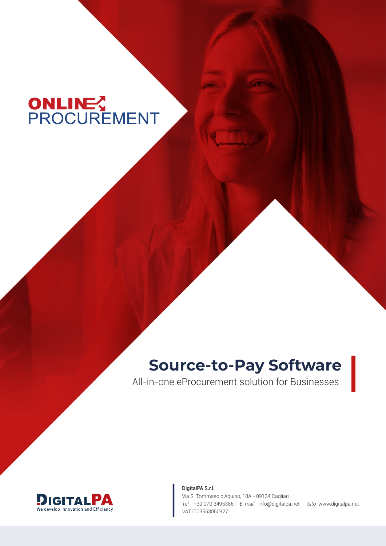# ONLINES<br>PROCUREMENT

# **Source-to-Pay Software**

All-in-one eProcurement solution for Businesses



DigitalPA S.r.l. Via S. Tommaso d'Aquino, 18A - 09134 Cagliari *Tel.* +39 070 3495386 | *E-mail* info@digitalpa.net | *Sito* www.digitalpa.net *VAT* IT03553050927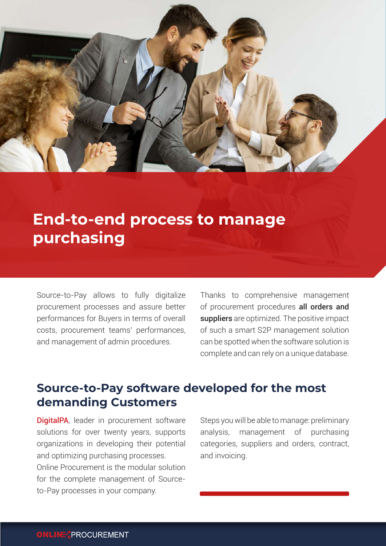

# **End-to-end process to manage purchasing**

Source-to-Pay allows to fully digitalize procurement processes and assure better performances for Buyers in terms of overall costs, procurement teams' performances, and management of admin procedures.

Thanks to comprehensive management of procurement procedures all orders and suppliers are optimized. The positive impact of such a smart S2P management solution can be spotted when the software solution is complete and can rely on a unique database.

# **Source-to-Pay software developed for the most demanding Customers**

**DigitalPA**, leader in procurement software solutions for over twenty years, supports organizations in developing their potential and optimizing purchasing processes. Online Procurement is the modular solution for the complete management of Sourceto-Pay processes in your company.

Steps you will be able to manage: preliminary analysis, management of purchasing categories, suppliers and orders, contract, and invoicing.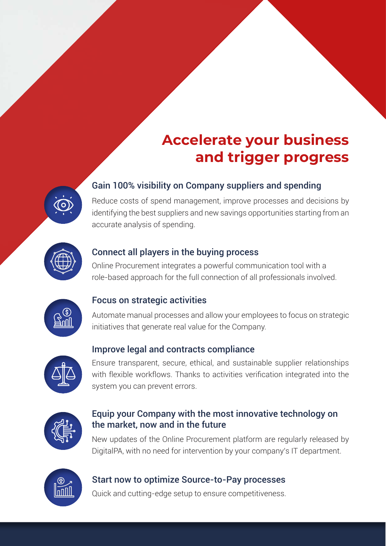# **Accelerate your business and trigger progress**

### Gain 100% visibility on Company suppliers and spending



Reduce costs of spend management, improve processes and decisions by identifying the best suppliers and new savings opportunities starting from an accurate analysis of spending.



#### Connect all players in the buying process

Online Procurement integrates a powerful communication tool with a role-based approach for the full connection of all professionals involved.



#### Focus on strategic activities

Automate manual processes and allow your employees to focus on strategic initiatives that generate real value for the Company.

#### Improve legal and contracts compliance



Ensure transparent, secure, ethical, and sustainable supplier relationships with flexible workflows. Thanks to activities verification integrated into the system you can prevent errors.



#### Equip your Company with the most innovative technology on the market, now and in the future

New updates of the Online Procurement platform are regularly released by DigitalPA, with no need for intervention by your company's IT department.



#### Start now to optimize Source-to-Pay processes

Quick and cutting-edge setup to ensure competitiveness.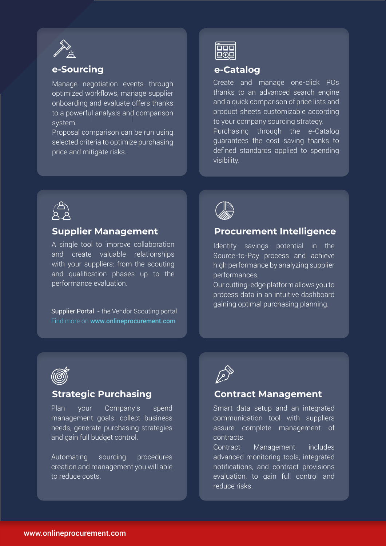

#### **e-Sourcing**

Manage negotiation events through optimized workflows, manage supplier onboarding and evaluate offers thanks to a powerful analysis and comparison system.

Proposal comparison can be run using selected criteria to optimize purchasing price and mitigate risks.



#### **e-Catalog**

Create and manage one-click POs thanks to an advanced search engine and a quick comparison of price lists and product sheets customizable according to your company sourcing strategy. Purchasing through the e-Catalog guarantees the cost saving thanks to defined standards applied to spending visibility.



#### **Supplier Management**

A single tool to improve collaboration and create valuable relationships with your suppliers: from the scouting and qualification phases up to the performance evaluation.

Supplier Portal - the Vendor Scouting portal Find more on www.onlineprocurement.com



#### **Procurement Intelligence**

Identify savings potential in the Source-to-Pay process and achieve high performance by analyzing supplier performances.

Our cutting-edge platform allows you to process data in an intuitive dashboard gaining optimal purchasing planning.



#### **Strategic Purchasing**

Plan your Company's spend management goals: collect business needs, generate purchasing strategies and gain full budget control.

Automating sourcing procedures creation and management you will able to reduce costs.

$$
\widehat{\mathbb{Z}^2}
$$

#### **Contract Management**

Smart data setup and an integrated communication tool with suppliers assure complete management of contracts.

Contract Management includes advanced monitoring tools, integrated notifications, and contract provisions evaluation, to gain full control and reduce risks.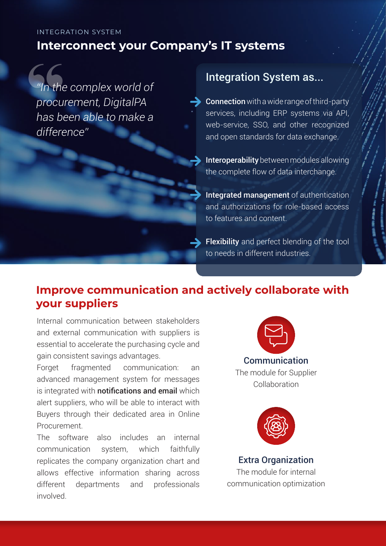#### **Interconnect your Company's IT systems** INTEGRATION SYSTEM

*"In the complex world of procurement, DigitalPA has been able to make a difference"* "In the<br>procu<br>has be<br>differe

# Integration System as...

Connection with a wide range of third-party services, including ERP systems via API, web-service, SSO, and other recognized and open standards for data exchange.

Interoperability between modules allowing the complete flow of data interchange.

Integrated management of authentication and authorizations for role-based access to features and content.

Flexibility and perfect blending of the tool to needs in different industries.

# **Improve communication and actively collaborate with your suppliers**

Internal communication between stakeholders and external communication with suppliers is essential to accelerate the purchasing cycle and gain consistent savings advantages.

Forget fragmented communication: an advanced management system for messages is integrated with **notifications and email** which alert suppliers, who will be able to interact with Buyers through their dedicated area in Online Procurement.

The software also includes an internal communication system, which faithfully replicates the company organization chart and allows effective information sharing across different departments and professionals involved.



**Communication** The module for Supplier Collaboration



Extra Organization The module for internal communication optimization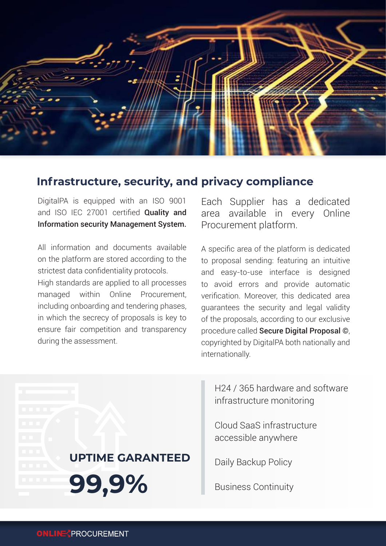

## **Infrastructure, security, and privacy compliance**

DigitalPA is equipped with an ISO 9001 and ISO IEC 27001 certified **Quality and** Information security Management System.

All information and documents available on the platform are stored according to the strictest data confidentiality protocols.

High standards are applied to all processes managed within Online Procurement, including onboarding and tendering phases, in which the secrecy of proposals is key to ensure fair competition and transparency during the assessment.

**UPTIME GARANTEED** 

**99,9%**

Each Supplier has a dedicated area available in every Online Procurement platform.

A specific area of the platform is dedicated to proposal sending: featuring an intuitive and easy-to-use interface is designed to avoid errors and provide automatic verification. Moreover, this dedicated area guarantees the security and legal validity of the proposals, according to our exclusive procedure called Secure Digital Proposal ©, copyrighted by DigitalPA both nationally and internationally.

H24 / 365 hardware and software infrastructure monitoring

Cloud SaaS infrastructure accessible anywhere

Daily Backup Policy

Business Continuity

**ONLINE** PROCUREMENT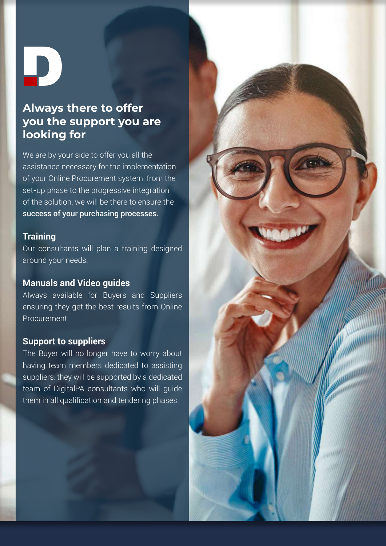$\blacksquare$ 

## **Always there to offer you the support you are looking for**

We are by your side to offer you all the assistance necessary for the implementation of your Online Procurement system: from the set-up phase to the progressive integration of the solution, we will be there to ensure the success of your purchasing processes.

#### **Training**

Our consultants will plan a training designed around your needs.

#### **Manuals and Video guides**

Always available for Buyers and Suppliers ensuring they get the best results from Online **Procurement** 

#### **Support to suppliers**

The Buyer will no longer have to worry about having team members dedicated to assisting suppliers: they will be supported by a dedicated team of DigitalPA consultants who will guide them in all qualification and tendering phases.